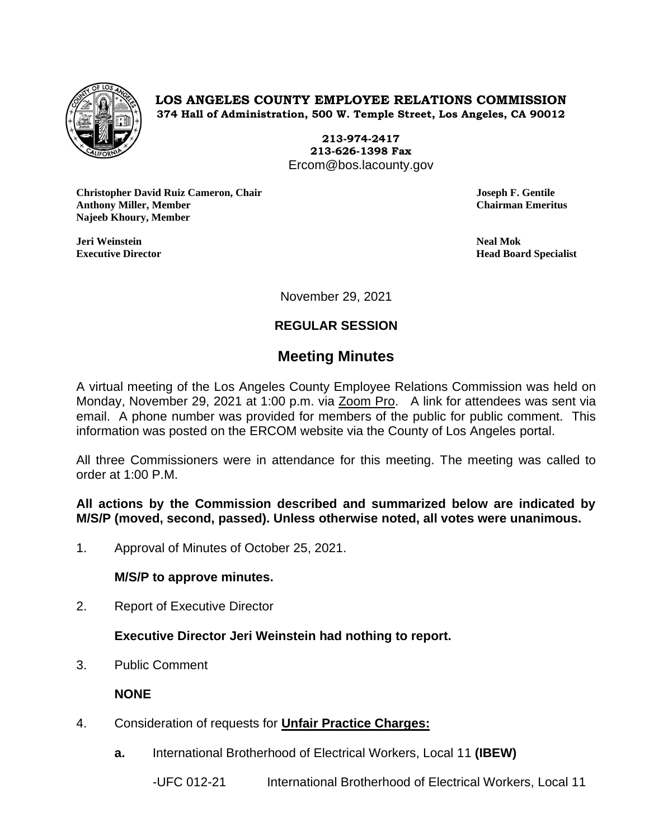

**LOS ANGELES COUNTY EMPLOYEE RELATIONS COMMISSION 374 Hall of Administration, 500 W. Temple Street, Los Angeles, CA 90012**

> **213-974-2417 213-626-1398 Fax** Ercom@bos.lacounty.gov

**Christopher David Ruiz Cameron, Chair Joseph F. Gentile Anthony Miller, Member Chairman Emeritus Najeeb Khoury, Member**

**Jeri Weinstein Neal Mok**

**Executive Director Head Board Specialist**

November 29, 2021

# **REGULAR SESSION**

# **Meeting Minutes**

A virtual meeting of the Los Angeles County Employee Relations Commission was held on Monday, November 29, 2021 at 1:00 p.m. via Zoom Pro. A link for attendees was sent via email. A phone number was provided for members of the public for public comment. This information was posted on the ERCOM website via the County of Los Angeles portal.

All three Commissioners were in attendance for this meeting. The meeting was called to order at 1:00 P.M.

**All actions by the Commission described and summarized below are indicated by M/S/P (moved, second, passed). Unless otherwise noted, all votes were unanimous.**

1. Approval of Minutes of October 25, 2021.

### **M/S/P to approve minutes.**

2. Report of Executive Director

## **Executive Director Jeri Weinstein had nothing to report.**

3. Public Comment

### **NONE**

- 4. Consideration of requests for **Unfair Practice Charges:**
	- **a.** International Brotherhood of Electrical Workers, Local 11 **(IBEW)**

-UFC 012-21 International Brotherhood of Electrical Workers, Local 11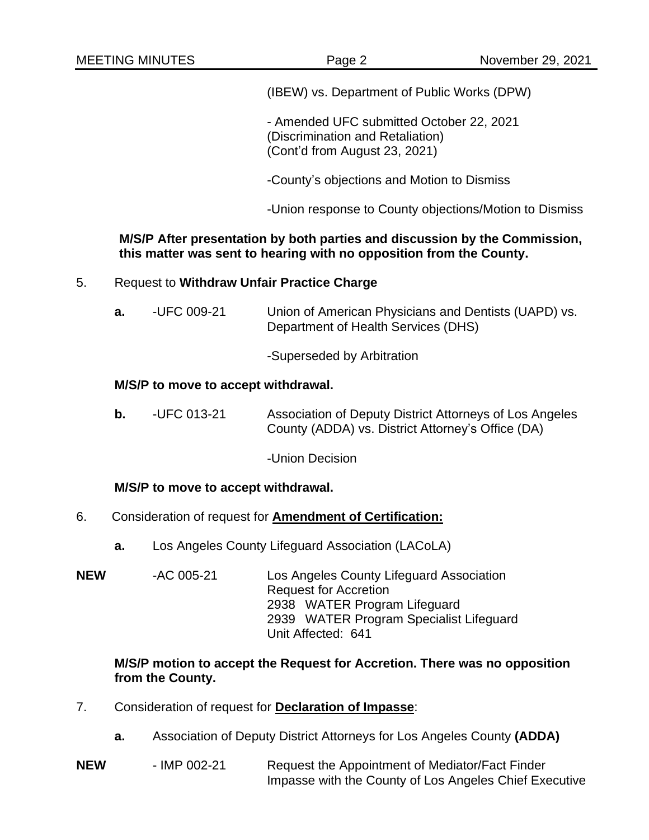(IBEW) vs. Department of Public Works (DPW)

- Amended UFC submitted October 22, 2021 (Discrimination and Retaliation) (Cont'd from August 23, 2021)

-County's objections and Motion to Dismiss

-Union response to County objections/Motion to Dismiss

#### **M/S/P After presentation by both parties and discussion by the Commission, this matter was sent to hearing with no opposition from the County.**

### 5. Request to **Withdraw Unfair Practice Charge**

**a.** -UFC 009-21 Union of American Physicians and Dentists (UAPD) vs. Department of Health Services (DHS)

-Superseded by Arbitration

#### **M/S/P to move to accept withdrawal.**

**b.** -UFC 013-21 Association of Deputy District Attorneys of Los Angeles County (ADDA) vs. District Attorney's Office (DA)

-Union Decision

### **M/S/P to move to accept withdrawal.**

- 6. Consideration of request for **Amendment of Certification:**
	- **a.** Los Angeles County Lifeguard Association (LACoLA)
- **NEW** -AC 005-21 Los Angeles County Lifeguard Association Request for Accretion 2938 WATER Program Lifeguard 2939 WATER Program Specialist Lifeguard Unit Affected: 641

#### **M/S/P motion to accept the Request for Accretion. There was no opposition from the County.**

- 7. Consideration of request for **Declaration of Impasse**:
	- **a.** Association of Deputy District Attorneys for Los Angeles County **(ADDA)**
- **NEW** IMP 002-21 Request the Appointment of Mediator/Fact Finder Impasse with the County of Los Angeles Chief Executive